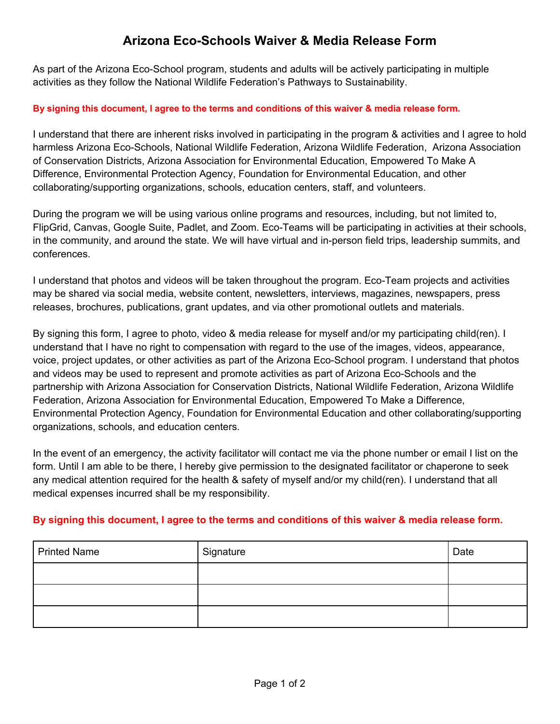## **Arizona Eco-Schools Waiver & Media Release Form**

As part of the Arizona Eco-School program, students and adults will be actively participating in multiple activities as they follow the National Wildlife Federation's Pathways to Sustainability.

## **By signing this document, I agree to the terms and conditions of this waiver & media release form.**

I understand that there are inherent risks involved in participating in the program & activities and I agree to hold harmless Arizona Eco-Schools, National Wildlife Federation, Arizona Wildlife Federation, Arizona Association of Conservation Districts, Arizona Association for Environmental Education, Empowered To Make A Difference, Environmental Protection Agency, Foundation for Environmental Education, and other collaborating/supporting organizations, schools, education centers, staff, and volunteers.

During the program we will be using various online programs and resources, including, but not limited to, FlipGrid, Canvas, Google Suite, Padlet, and Zoom. Eco-Teams will be participating in activities at their schools, in the community, and around the state. We will have virtual and in-person field trips, leadership summits, and conferences.

I understand that photos and videos will be taken throughout the program. Eco-Team projects and activities may be shared via social media, website content, newsletters, interviews, magazines, newspapers, press releases, brochures, publications, grant updates, and via other promotional outlets and materials.

By signing this form, I agree to photo, video & media release for myself and/or my participating child(ren). I understand that I have no right to compensation with regard to the use of the images, videos, appearance, voice, project updates, or other activities as part of the Arizona Eco-School program. I understand that photos and videos may be used to represent and promote activities as part of Arizona Eco-Schools and the partnership with Arizona Association for Conservation Districts, National Wildlife Federation, Arizona Wildlife Federation, Arizona Association for Environmental Education, Empowered To Make a Difference, Environmental Protection Agency, Foundation for Environmental Education and other collaborating/supporting organizations, schools, and education centers.

In the event of an emergency, the activity facilitator will contact me via the phone number or email I list on the form. Until I am able to be there, I hereby give permission to the designated facilitator or chaperone to seek any medical attention required for the health & safety of myself and/or my child(ren). I understand that all medical expenses incurred shall be my responsibility.

## **By signing this document, I agree to the terms and conditions of this waiver & media release form.**

| <b>Printed Name</b> | Signature | Date |
|---------------------|-----------|------|
|                     |           |      |
|                     |           |      |
|                     |           |      |